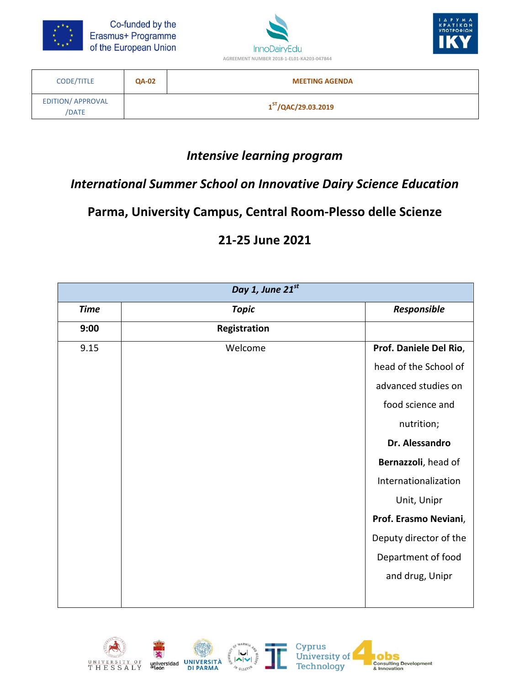





| <b>CODE/TITLE</b>                 | <b>QA-02</b> | <b>MEETING AGENDA</b>   |
|-----------------------------------|--------------|-------------------------|
| <b>EDITION/ APPROVAL</b><br>/DATE |              | $1^{ST}/QAC/29.03.2019$ |

## *Intensive learning program*

## *International Summer School on Innovative Dairy Science Education*

## **Parma, University Campus, Central Room-Plesso delle Scienze**

| Day 1, June 21st |              |                        |  |
|------------------|--------------|------------------------|--|
| <b>Time</b>      | <b>Topic</b> | Responsible            |  |
| 9:00             | Registration |                        |  |
| 9.15             | Welcome      | Prof. Daniele Del Rio, |  |
|                  |              | head of the School of  |  |
|                  |              | advanced studies on    |  |
|                  |              | food science and       |  |
|                  |              | nutrition;             |  |
|                  |              | Dr. Alessandro         |  |
|                  |              | Bernazzoli, head of    |  |
|                  |              | Internationalization   |  |
|                  |              | Unit, Unipr            |  |
|                  |              | Prof. Erasmo Neviani,  |  |
|                  |              | Deputy director of the |  |
|                  |              | Department of food     |  |
|                  |              | and drug, Unipr        |  |
|                  |              |                        |  |
|                  |              |                        |  |

## **21-25 June 2021**

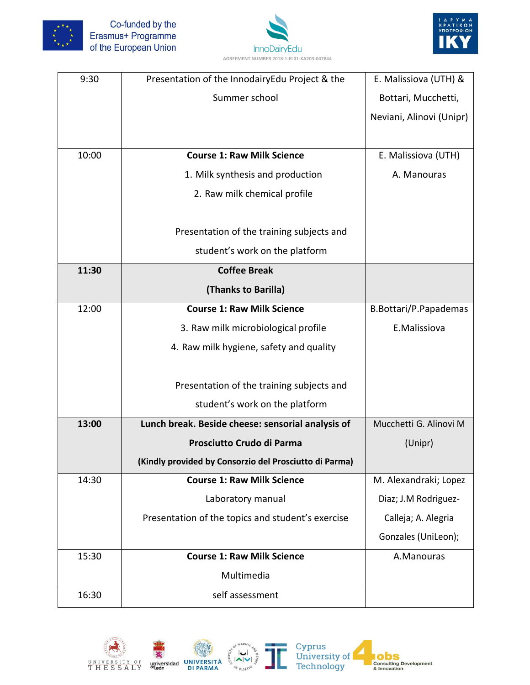





| 9:30  | Presentation of the InnodairyEdu Project & the         | E. Malissiova (UTH) &    |
|-------|--------------------------------------------------------|--------------------------|
|       | Summer school                                          | Bottari, Mucchetti,      |
|       |                                                        | Neviani, Alinovi (Unipr) |
|       |                                                        |                          |
| 10:00 | <b>Course 1: Raw Milk Science</b>                      | E. Malissiova (UTH)      |
|       | 1. Milk synthesis and production                       | A. Manouras              |
|       | 2. Raw milk chemical profile                           |                          |
|       |                                                        |                          |
|       | Presentation of the training subjects and              |                          |
|       | student's work on the platform                         |                          |
| 11:30 | <b>Coffee Break</b>                                    |                          |
|       | (Thanks to Barilla)                                    |                          |
| 12:00 | <b>Course 1: Raw Milk Science</b>                      | B.Bottari/P.Papademas    |
|       | 3. Raw milk microbiological profile                    | E.Malissiova             |
|       | 4. Raw milk hygiene, safety and quality                |                          |
|       |                                                        |                          |
|       | Presentation of the training subjects and              |                          |
|       | student's work on the platform                         |                          |
| 13:00 | Lunch break. Beside cheese: sensorial analysis of      | Mucchetti G. Alinovi M   |
|       | Prosciutto Crudo di Parma                              | (Unipr)                  |
|       | (Kindly provided by Consorzio del Prosciutto di Parma) |                          |
| 14:30 | <b>Course 1: Raw Milk Science</b>                      | M. Alexandraki; Lopez    |
|       | Laboratory manual                                      | Diaz; J.M Rodriguez-     |
|       | Presentation of the topics and student's exercise      | Calleja; A. Alegria      |
|       |                                                        | Gonzales (UniLeon);      |
| 15:30 | <b>Course 1: Raw Milk Science</b>                      | A.Manouras               |
|       | Multimedia                                             |                          |
| 16:30 | self assessment                                        |                          |

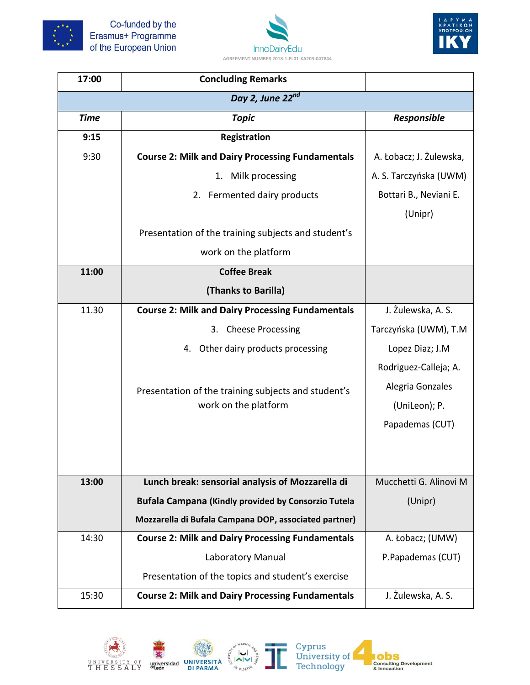

Co-funded by the Erasmus+ Programme of the European Union





| 17:00       | <b>Concluding Remarks</b>                                  |                         |
|-------------|------------------------------------------------------------|-------------------------|
|             |                                                            |                         |
| <b>Time</b> | <b>Topic</b>                                               | Responsible             |
| 9:15        | Registration                                               |                         |
| 9:30        | <b>Course 2: Milk and Dairy Processing Fundamentals</b>    | A. Łobacz; J. Żulewska, |
|             | 1. Milk processing                                         | A. S. Tarczyńska (UWM)  |
|             | 2. Fermented dairy products                                | Bottari B., Neviani E.  |
|             |                                                            | (Unipr)                 |
|             | Presentation of the training subjects and student's        |                         |
|             | work on the platform                                       |                         |
| 11:00       | <b>Coffee Break</b>                                        |                         |
|             | (Thanks to Barilla)                                        |                         |
| 11.30       | <b>Course 2: Milk and Dairy Processing Fundamentals</b>    | J. Żulewska, A. S.      |
|             | 3. Cheese Processing                                       | Tarczyńska (UWM), T.M   |
|             | 4. Other dairy products processing                         | Lopez Diaz; J.M         |
|             |                                                            | Rodriguez-Calleja; A.   |
|             | Presentation of the training subjects and student's        | Alegria Gonzales        |
|             | work on the platform                                       | (UniLeon); P.           |
|             |                                                            | Papademas (CUT)         |
|             |                                                            |                         |
|             |                                                            |                         |
| 13:00       | Lunch break: sensorial analysis of Mozzarella di           | Mucchetti G. Alinovi M  |
|             | <b>Bufala Campana (Kindly provided by Consorzio Tutela</b> | (Unipr)                 |
|             | Mozzarella di Bufala Campana DOP, associated partner)      |                         |
| 14:30       | <b>Course 2: Milk and Dairy Processing Fundamentals</b>    | A. Łobacz; (UMW)        |
|             | Laboratory Manual                                          | P.Papademas (CUT)       |
|             | Presentation of the topics and student's exercise          |                         |
| 15:30       | <b>Course 2: Milk and Dairy Processing Fundamentals</b>    | J. Żulewska, A. S.      |

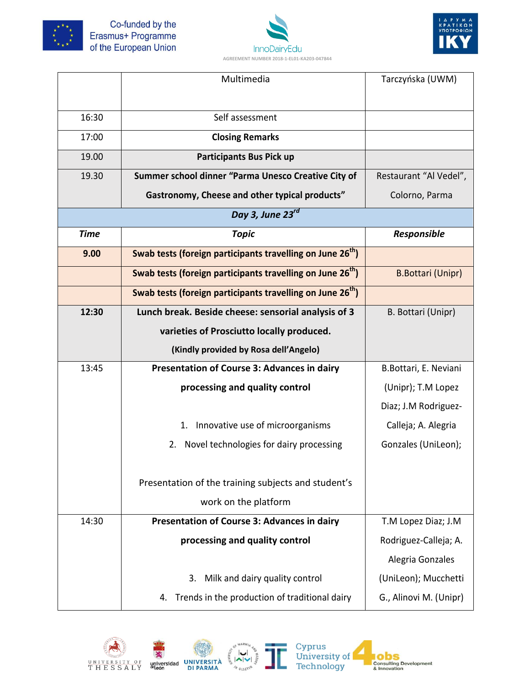

Co-funded by the Erasmus+ Programme of the European Union





|             | Multimedia                                                             | Tarczyńska (UWM)         |
|-------------|------------------------------------------------------------------------|--------------------------|
|             |                                                                        |                          |
| 16:30       | Self assessment                                                        |                          |
| 17:00       | <b>Closing Remarks</b>                                                 |                          |
| 19.00       | <b>Participants Bus Pick up</b>                                        |                          |
| 19.30       | Summer school dinner "Parma Unesco Creative City of                    | Restaurant "Al Vedel",   |
|             | Gastronomy, Cheese and other typical products"                         | Colorno, Parma           |
|             | Day 3, June 23rd                                                       |                          |
| <b>Time</b> | <b>Topic</b>                                                           | Responsible              |
| 9.00        | Swab tests (foreign participants travelling on June 26 <sup>th</sup> ) |                          |
|             | Swab tests (foreign participants travelling on June 26 <sup>th</sup> ) | <b>B.Bottari (Unipr)</b> |
|             | Swab tests (foreign participants travelling on June 26 <sup>th</sup> ) |                          |
| 12:30       | Lunch break. Beside cheese: sensorial analysis of 3                    | B. Bottari (Unipr)       |
|             | varieties of Prosciutto locally produced.                              |                          |
|             | (Kindly provided by Rosa dell'Angelo)                                  |                          |
| 13:45       | <b>Presentation of Course 3: Advances in dairy</b>                     | B.Bottari, E. Neviani    |
|             | processing and quality control                                         | (Unipr); T.M Lopez       |
|             |                                                                        | Diaz; J.M Rodriguez-     |
|             | 1. Innovative use of microorganisms                                    | Calleja; A. Alegria      |
|             | Novel technologies for dairy processing<br>2.                          | Gonzales (UniLeon);      |
|             |                                                                        |                          |
|             | Presentation of the training subjects and student's                    |                          |
|             | work on the platform                                                   |                          |
| 14:30       | Presentation of Course 3: Advances in dairy                            | T.M Lopez Diaz; J.M      |
|             | processing and quality control                                         | Rodriguez-Calleja; A.    |
|             |                                                                        | Alegria Gonzales         |
|             | Milk and dairy quality control<br>3.                                   | (UniLeon); Mucchetti     |
|             | 4. Trends in the production of traditional dairy                       | G., Alinovi M. (Unipr)   |





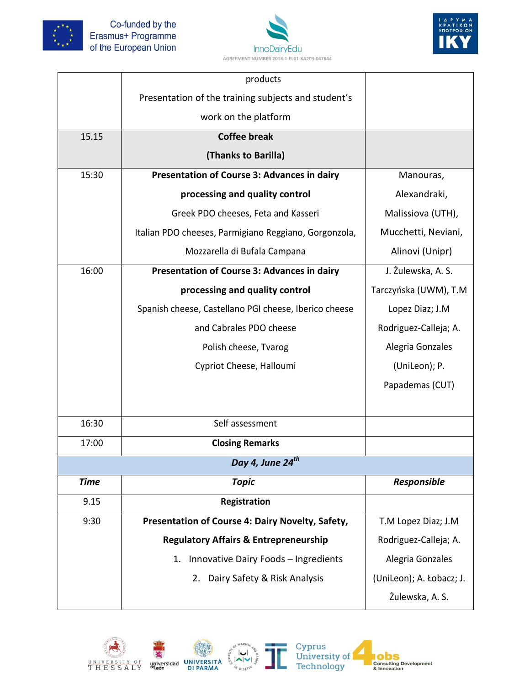





|             | products                                              |                          |
|-------------|-------------------------------------------------------|--------------------------|
|             | Presentation of the training subjects and student's   |                          |
|             | work on the platform                                  |                          |
| 15.15       | <b>Coffee break</b>                                   |                          |
|             | (Thanks to Barilla)                                   |                          |
| 15:30       | Presentation of Course 3: Advances in dairy           | Manouras,                |
|             | processing and quality control                        | Alexandraki,             |
|             | Greek PDO cheeses, Feta and Kasseri                   | Malissiova (UTH),        |
|             | Italian PDO cheeses, Parmigiano Reggiano, Gorgonzola, | Mucchetti, Neviani,      |
|             | Mozzarella di Bufala Campana                          | Alinovi (Unipr)          |
| 16:00       | Presentation of Course 3: Advances in dairy           | J. Żulewska, A. S.       |
|             | processing and quality control                        | Tarczyńska (UWM), T.M    |
|             | Spanish cheese, Castellano PGI cheese, Iberico cheese | Lopez Diaz; J.M          |
|             | and Cabrales PDO cheese                               | Rodriguez-Calleja; A.    |
|             | Polish cheese, Tvarog                                 | Alegria Gonzales         |
|             | Cypriot Cheese, Halloumi                              | (UniLeon); P.            |
|             |                                                       | Papademas (CUT)          |
|             |                                                       |                          |
| 16:30       | Self assessment                                       |                          |
| 17:00       | <b>Closing Remarks</b>                                |                          |
|             | Day 4, June 24 <sup>th</sup>                          |                          |
| <b>Time</b> | <b>Topic</b>                                          | Responsible              |
| 9.15        | Registration                                          |                          |
| 9:30        | Presentation of Course 4: Dairy Novelty, Safety,      | T.M Lopez Diaz; J.M      |
|             | <b>Regulatory Affairs &amp; Entrepreneurship</b>      | Rodriguez-Calleja; A.    |
|             | Innovative Dairy Foods - Ingredients<br>1.            | Alegria Gonzales         |
|             | 2. Dairy Safety & Risk Analysis                       | (UniLeon); A. Łobacz; J. |
|             |                                                       | Żulewska, A. S.          |

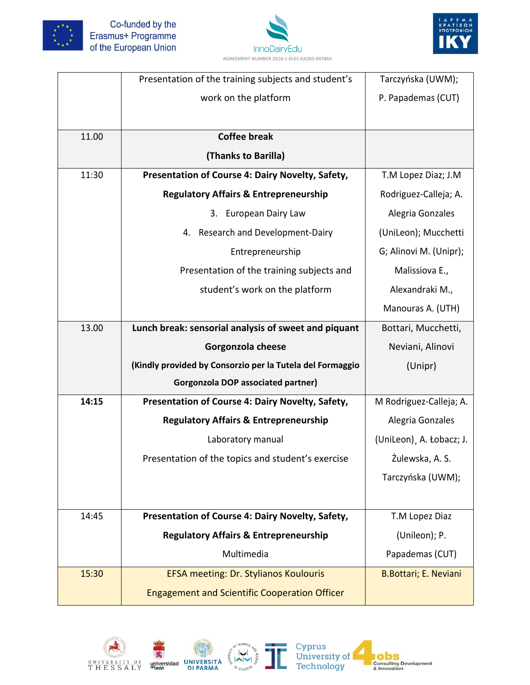





|       | Presentation of the training subjects and student's       | Tarczyńska (UWM);            |
|-------|-----------------------------------------------------------|------------------------------|
|       | work on the platform                                      | P. Papademas (CUT)           |
|       |                                                           |                              |
| 11.00 | <b>Coffee break</b>                                       |                              |
|       | (Thanks to Barilla)                                       |                              |
| 11:30 | Presentation of Course 4: Dairy Novelty, Safety,          | T.M Lopez Diaz; J.M          |
|       | <b>Regulatory Affairs &amp; Entrepreneurship</b>          | Rodriguez-Calleja; A.        |
|       | European Dairy Law<br>3.                                  | Alegria Gonzales             |
|       | 4. Research and Development-Dairy                         | (UniLeon); Mucchetti         |
|       | Entrepreneurship                                          | G; Alinovi M. (Unipr);       |
|       | Presentation of the training subjects and                 | Malissiova E.,               |
|       | student's work on the platform                            | Alexandraki M.,              |
|       |                                                           | Manouras A. (UTH)            |
| 13.00 | Lunch break: sensorial analysis of sweet and piquant      | Bottari, Mucchetti,          |
|       | Gorgonzola cheese                                         | Neviani, Alinovi             |
|       | (Kindly provided by Consorzio per la Tutela del Formaggio | (Unipr)                      |
|       | <b>Gorgonzola DOP associated partner)</b>                 |                              |
| 14:15 | Presentation of Course 4: Dairy Novelty, Safety,          | M Rodriguez-Calleja; A.      |
|       | <b>Regulatory Affairs &amp; Entrepreneurship</b>          | Alegria Gonzales             |
|       | Laboratory manual                                         | (UniLeon), A. Łobacz; J.     |
|       | Presentation of the topics and student's exercise         | Żulewska, A. S.              |
|       |                                                           | Tarczyńska (UWM);            |
|       |                                                           |                              |
| 14:45 | Presentation of Course 4: Dairy Novelty, Safety,          | T.M Lopez Diaz               |
|       | <b>Regulatory Affairs &amp; Entrepreneurship</b>          | (Unileon); P.                |
|       | Multimedia                                                | Papademas (CUT)              |
| 15:30 | EFSA meeting: Dr. Stylianos Koulouris                     | <b>B.Bottari; E. Neviani</b> |
|       | <b>Engagement and Scientific Cooperation Officer</b>      |                              |

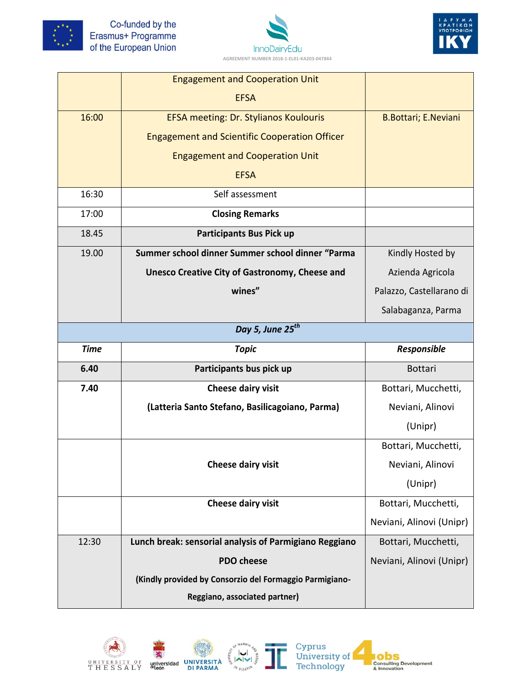





|             | <b>Engagement and Cooperation Unit</b>                  |                             |
|-------------|---------------------------------------------------------|-----------------------------|
|             | <b>EFSA</b>                                             |                             |
| 16:00       | EFSA meeting: Dr. Stylianos Koulouris                   | <b>B.Bottari; E.Neviani</b> |
|             | <b>Engagement and Scientific Cooperation Officer</b>    |                             |
|             | <b>Engagement and Cooperation Unit</b>                  |                             |
|             | <b>EFSA</b>                                             |                             |
| 16:30       | Self assessment                                         |                             |
| 17:00       | <b>Closing Remarks</b>                                  |                             |
| 18.45       | <b>Participants Bus Pick up</b>                         |                             |
| 19.00       | Summer school dinner Summer school dinner "Parma        | Kindly Hosted by            |
|             | <b>Unesco Creative City of Gastronomy, Cheese and</b>   | Azienda Agricola            |
|             | wines"                                                  | Palazzo, Castellarano di    |
|             |                                                         | Salabaganza, Parma          |
|             | Day 5, June $25^{\overline{th}}$                        |                             |
|             |                                                         |                             |
| <b>Time</b> | <b>Topic</b>                                            | Responsible                 |
| 6.40        | Participants bus pick up                                | <b>Bottari</b>              |
| 7.40        | Cheese dairy visit                                      | Bottari, Mucchetti,         |
|             | (Latteria Santo Stefano, Basilicagoiano, Parma)         | Neviani, Alinovi            |
|             |                                                         | (Unipr)                     |
|             |                                                         | Bottari, Mucchetti,         |
|             | <b>Cheese dairy visit</b>                               | Neviani, Alinovi            |
|             |                                                         | (Unipr)                     |
|             | Cheese dairy visit                                      | Bottari, Mucchetti,         |
|             |                                                         | Neviani, Alinovi (Unipr)    |
| 12:30       | Lunch break: sensorial analysis of Parmigiano Reggiano  | Bottari, Mucchetti,         |
|             | <b>PDO</b> cheese                                       | Neviani, Alinovi (Unipr)    |
|             | (Kindly provided by Consorzio del Formaggio Parmigiano- |                             |